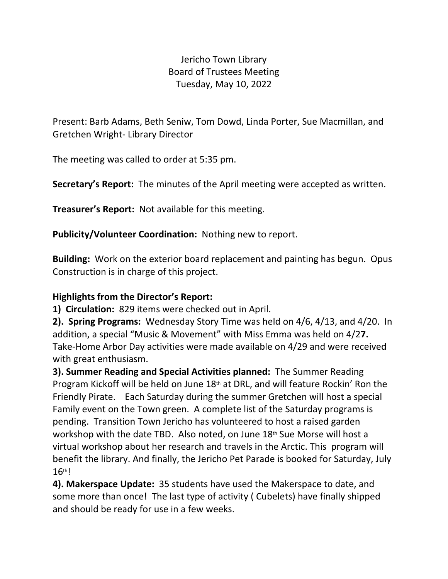## Jericho Town Library Board of Trustees Meeting Tuesday, May 10, 2022

Present: Barb Adams, Beth Seniw, Tom Dowd, Linda Porter, Sue Macmillan, and Gretchen Wright- Library Director

The meeting was called to order at 5:35 pm.

**Secretary's Report:** The minutes of the April meeting were accepted as written.

**Treasurer's Report:** Not available for this meeting.

**Publicity/Volunteer Coordination:** Nothing new to report.

**Building:** Work on the exterior board replacement and painting has begun. Opus Construction is in charge of this project.

## **Highlights from the Director's Report:**

**1) Circulation:** 829 items were checked out in April.

**2). Spring Programs:** Wednesday Story Time was held on 4/6, 4/13, and 4/20. In addition, a special "Music & Movement" with Miss Emma was held on 4/2**7.**  Take-Home Arbor Day activities were made available on 4/29 and were received with great enthusiasm.

**3). Summer Reading and Special Activities planned:** The Summer Reading Program Kickoff will be held on June  $18<sup>th</sup>$  at DRL, and will feature Rockin' Ron the Friendly Pirate. Each Saturday during the summer Gretchen will host a special Family event on the Town green. A complete list of the Saturday programs is pending. Transition Town Jericho has volunteered to host a raised garden workshop with the date TBD. Also noted, on June 18th Sue Morse will host a virtual workshop about her research and travels in the Arctic. This program will benefit the library. And finally, the Jericho Pet Parade is booked for Saturday, July 16th!

**4). Makerspace Update:** 35 students have used the Makerspace to date, and some more than once! The last type of activity ( Cubelets) have finally shipped and should be ready for use in a few weeks.